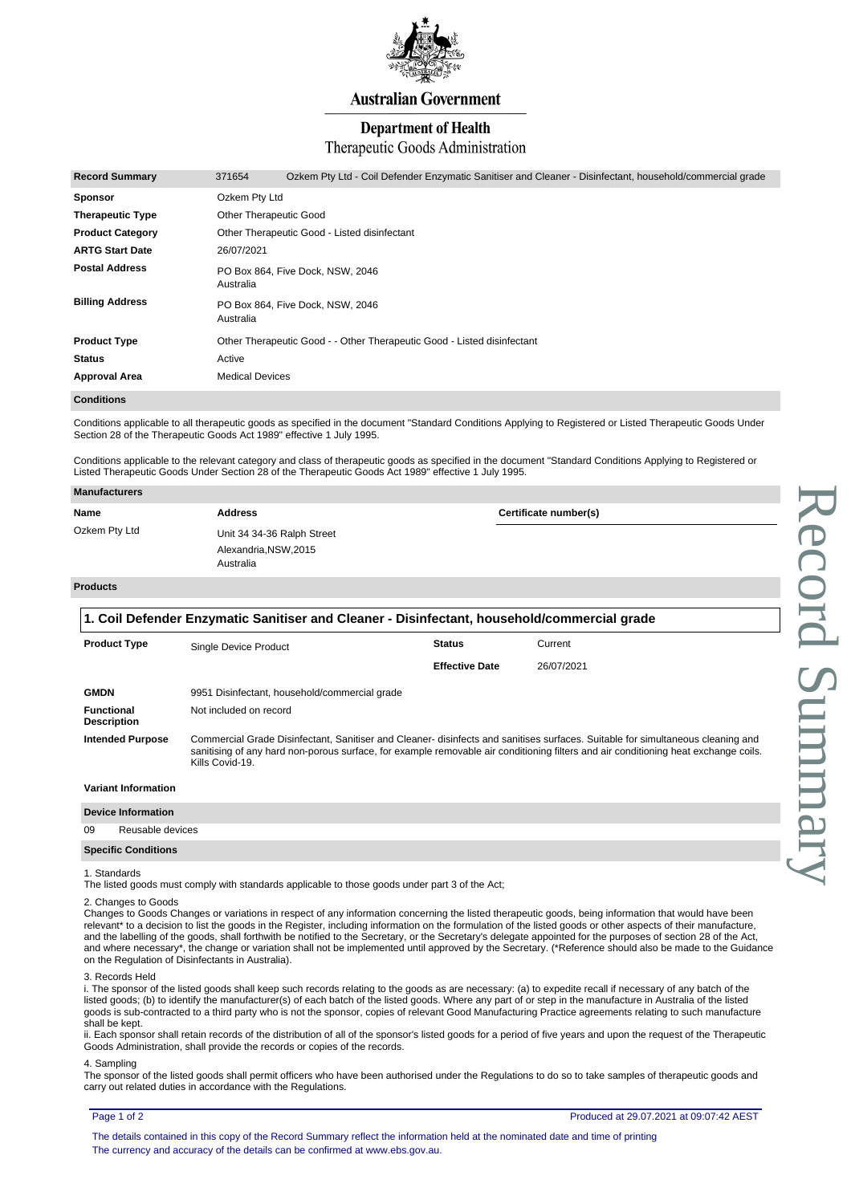

# **Australian Government**

# **Department of Health**

# Therapeutic Goods Administration

| <b>Record Summary</b>   | 371654                                                                  | Ozkem Pty Ltd - Coil Defender Enzymatic Sanitiser and Cleaner - Disinfectant, household/commercial grade |  |  |  |
|-------------------------|-------------------------------------------------------------------------|----------------------------------------------------------------------------------------------------------|--|--|--|
| <b>Sponsor</b>          | Ozkem Pty Ltd                                                           |                                                                                                          |  |  |  |
| <b>Therapeutic Type</b> | <b>Other Therapeutic Good</b>                                           |                                                                                                          |  |  |  |
| <b>Product Category</b> | Other Therapeutic Good - Listed disinfectant                            |                                                                                                          |  |  |  |
| <b>ARTG Start Date</b>  | 26/07/2021                                                              |                                                                                                          |  |  |  |
| <b>Postal Address</b>   | PO Box 864, Five Dock, NSW, 2046<br>Australia                           |                                                                                                          |  |  |  |
| <b>Billing Address</b>  | Australia                                                               | PO Box 864. Five Dock, NSW, 2046                                                                         |  |  |  |
| <b>Product Type</b>     | Other Therapeutic Good - - Other Therapeutic Good - Listed disinfectant |                                                                                                          |  |  |  |
| <b>Status</b>           | Active                                                                  |                                                                                                          |  |  |  |
| <b>Approval Area</b>    | <b>Medical Devices</b>                                                  |                                                                                                          |  |  |  |

# **Conditions**

Conditions applicable to all therapeutic goods as specified in the document "Standard Conditions Applying to Registered or Listed Therapeutic Goods Under Section 28 of the Therapeutic Goods Act 1989" effective 1 July 1995.

Conditions applicable to the relevant category and class of therapeutic goods as specified in the document "Standard Conditions Applying to Registered or Listed Therapeutic Goods Under Section 28 of the Therapeutic Goods Act 1989" effective 1 July 1995.

| Manufacturers |                                    |                       |  |
|---------------|------------------------------------|-----------------------|--|
| Name          | <b>Address</b>                     | Certificate number(s) |  |
| Ozkem Pty Ltd | Unit 34 34-36 Ralph Street         |                       |  |
|               | Alexandria, NSW, 2015<br>Australia |                       |  |

# **Products**

| 1. Coil Defender Enzymatic Sanitiser and Cleaner - Disinfectant, household/commercial grade |                                                                                                                                                                                                                                                                                           |                       |            |  |
|---------------------------------------------------------------------------------------------|-------------------------------------------------------------------------------------------------------------------------------------------------------------------------------------------------------------------------------------------------------------------------------------------|-----------------------|------------|--|
| <b>Product Type</b>                                                                         | Single Device Product                                                                                                                                                                                                                                                                     | <b>Status</b>         | Current    |  |
|                                                                                             |                                                                                                                                                                                                                                                                                           | <b>Effective Date</b> | 26/07/2021 |  |
| <b>GMDN</b>                                                                                 | 9951 Disinfectant, household/commercial grade                                                                                                                                                                                                                                             |                       |            |  |
| <b>Functional</b><br><b>Description</b>                                                     | Not included on record                                                                                                                                                                                                                                                                    |                       |            |  |
| <b>Intended Purpose</b>                                                                     | Commercial Grade Disinfectant, Sanitiser and Cleaner- disinfects and sanitises surfaces. Suitable for simultaneous cleaning and<br>sanitising of any hard non-porous surface, for example removable air conditioning filters and air conditioning heat exchange coils.<br>Kills Covid-19. |                       |            |  |

### **Variant Information**

| <b>Device Information</b> |
|---------------------------|
|                           |

|    | <b>PUTTU IIIU IIIIU III</b> |
|----|-----------------------------|
| 09 | Reusable devices            |
|    | <b>Specific Conditions</b>  |

#### 1. Standards

The listed goods must comply with standards applicable to those goods under part 3 of the Act;

#### 2. Changes to Goods

Changes to Goods Changes or variations in respect of any information concerning the listed therapeutic goods, being information that would have been relevant\* to a decision to list the goods in the Register, including information on the formulation of the listed goods or other aspects of their manufacture, and the labelling of the goods, shall forthwith be notified to the Secretary, or the Secretary's delegate appointed for the purposes of section 28 of the Act, and where necessary\*, the change or variation shall not be implemented until approved by the Secretary. (\*Reference should also be made to the Guidance on the Regulation of Disinfectants in Australia).

#### 3. Records Held

i. The sponsor of the listed goods shall keep such records relating to the goods as are necessary: (a) to expedite recall if necessary of any batch of the listed goods; (b) to identify the manufacturer(s) of each batch of the listed goods. Where any part of or step in the manufacture in Australia of the listed goods is sub-contracted to a third party who is not the sponsor, copies of relevant Good Manufacturing Practice agreements relating to such manufacture shall be kept.

ii. Each sponsor shall retain records of the distribution of all of the sponsor's listed goods for a period of five years and upon the request of the Therapeutic Goods Administration, shall provide the records or copies of the records.

### 4. Sampling

The sponsor of the listed goods shall permit officers who have been authorised under the Regulations to do so to take samples of therapeutic goods and carry out related duties in accordance with the Regulations.

### Page 1 of 2